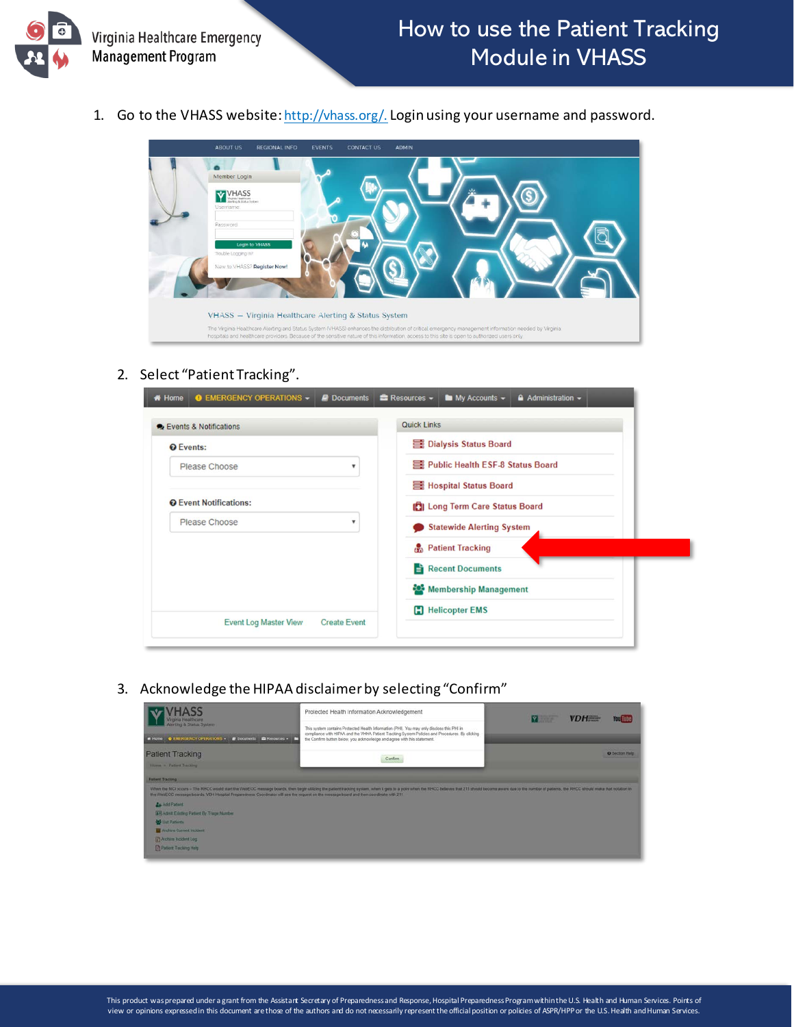

1. Go to the VHASS website[: http://vhass.org/.](http://vhass.org/) Login using your username and password.



## 2. Select "Patient Tracking".

| <b>Events &amp; Notifications</b> | <b>Quick Links</b>                   |
|-----------------------------------|--------------------------------------|
| <b>Q</b> Events:                  | <b>B</b> Dialysis Status Board       |
| Please Choose<br>۳                | Public Health ESF-8 Status Board     |
|                                   | 三 Hospital Status Board              |
| <b>Q</b> Event Notifications:     | <b>BILOng Term Care Status Board</b> |
| Please Choose<br>v                | <b>Statewide Alerting System</b>     |
|                                   | <b>Patient Tracking</b>              |
|                                   | Recent Documents                     |
|                                   | Membership Management                |
|                                   | <b>Helicopter EMS</b>                |

3. Acknowledge the HIPAA disclaimer by selecting "Confirm"

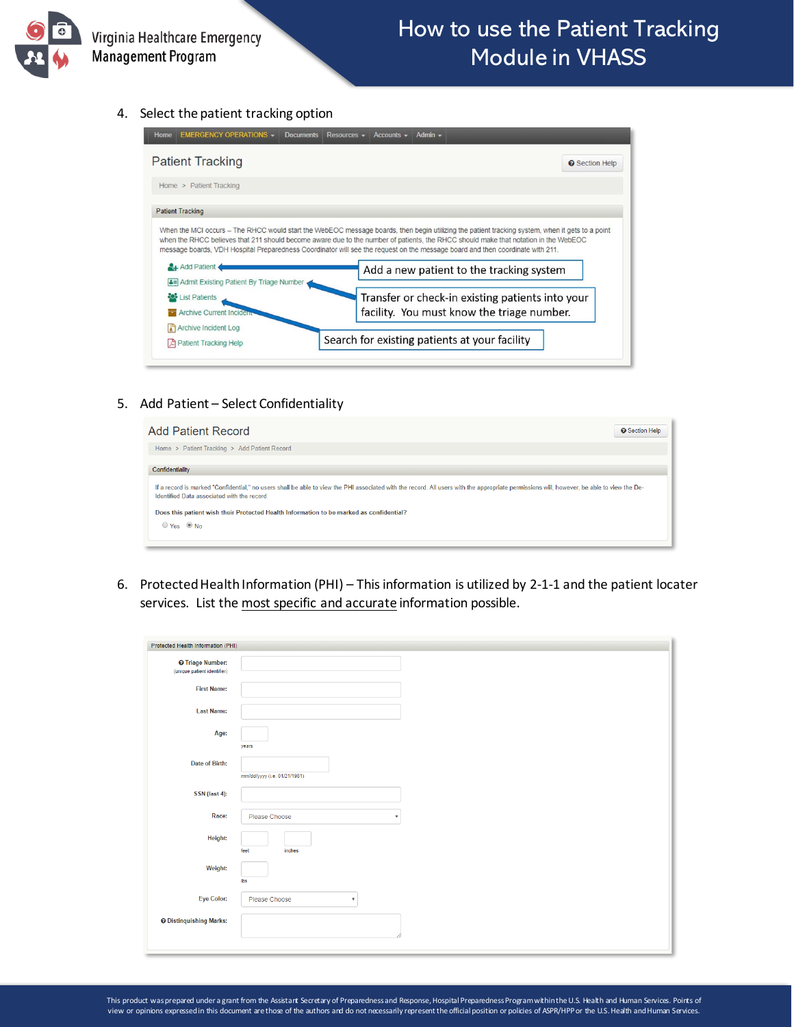

## 4. Select the patient tracking option

| <b>Patient Tracking</b>                                          | <b>O</b> Section Help                                                                                                                                                                                                                                                                                                                                                                                                   |
|------------------------------------------------------------------|-------------------------------------------------------------------------------------------------------------------------------------------------------------------------------------------------------------------------------------------------------------------------------------------------------------------------------------------------------------------------------------------------------------------------|
| Home > Patient Tracking                                          |                                                                                                                                                                                                                                                                                                                                                                                                                         |
| <b>Patient Tracking</b>                                          |                                                                                                                                                                                                                                                                                                                                                                                                                         |
|                                                                  |                                                                                                                                                                                                                                                                                                                                                                                                                         |
|                                                                  | When the MCI occurs - The RHCC would start the WebEOC message boards, then begin utilizing the patient tracking system, when it gets to a point<br>when the RHCC believes that 211 should become aware due to the number of patients, the RHCC should make that notation in the WebEOC<br>message boards, VDH Hospital Preparedness Coordinator will see the request on the message board and then coordinate with 211. |
| Add Patient<br><b>A= Admit Existing Patient By Triage Number</b> | Add a new patient to the tracking system                                                                                                                                                                                                                                                                                                                                                                                |
| List Patients                                                    |                                                                                                                                                                                                                                                                                                                                                                                                                         |
| <b>Archive Current Incident</b>                                  | Transfer or check-in existing patients into your<br>facility. You must know the triage number.                                                                                                                                                                                                                                                                                                                          |
| Archive Incident Log                                             |                                                                                                                                                                                                                                                                                                                                                                                                                         |

5. Add Patient – Select Confidentiality

| <b>Add Patient Record</b>                                                                                                                                                                                                                 | <b>O</b> Section Help |
|-------------------------------------------------------------------------------------------------------------------------------------------------------------------------------------------------------------------------------------------|-----------------------|
| Home > Patient Tracking > Add Patient Record                                                                                                                                                                                              |                       |
| Confidentiality                                                                                                                                                                                                                           |                       |
| If a record is marked "Confidential," no users shall be able to view the PHI associated with the record. All users with the appropriate permissions will, however, be able to view the De-<br>Identified Data associated with the record. |                       |
| Does this patient wish their Protected Health Information to be marked as confidential?                                                                                                                                                   |                       |
| ⊙ Yes <sup>◎</sup> No                                                                                                                                                                                                                     |                       |
|                                                                                                                                                                                                                                           |                       |

6. Protected Health Information (PHI) – This information is utilized by 2-1-1 and the patient locater services. List the most specific and accurate information possible.

| Protected Health Information (PHI)                     |                                            |
|--------------------------------------------------------|--------------------------------------------|
| <b>O</b> Triage Number:<br>(unique patient identifier) |                                            |
| <b>First Name:</b>                                     |                                            |
| <b>Last Name:</b>                                      |                                            |
| Age:                                                   | years                                      |
| Date of Birth:                                         | mm/dd/yyyy (i.e. 01/21/1981)               |
| SSN (last 4):                                          |                                            |
| Race:                                                  | Please Choose<br>$\boldsymbol{\mathrm{v}}$ |
| Height:                                                | feet<br>inches                             |
| Weight:                                                | lbs                                        |
| <b>Eye Color:</b>                                      | Please Choose<br>$\boldsymbol{\mathrm{v}}$ |
| <b>O</b> Distinquishing Marks:                         |                                            |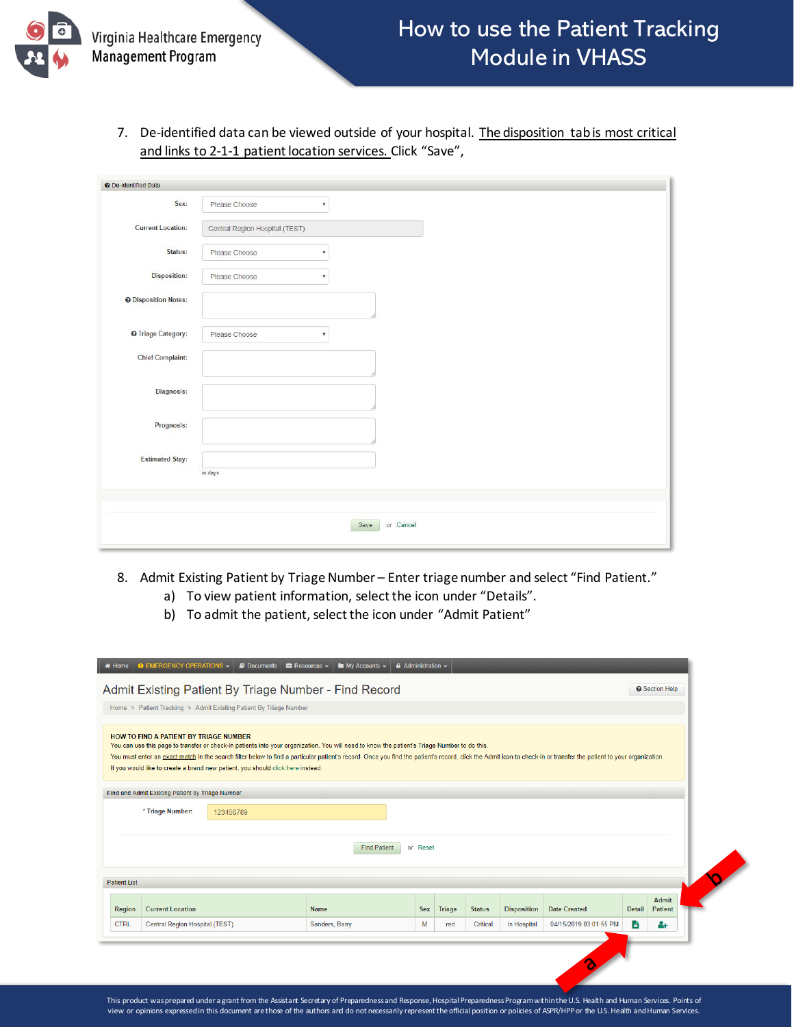

7. De-identified data can be viewed outside of your hospital. The disposition tab is most critical and links to 2-1-1 patient location services. Click "Save",

| O De-identified Data        |                                |                           |                   |  |
|-----------------------------|--------------------------------|---------------------------|-------------------|--|
| Sex:                        | Please Choose                  | $\mathbf{v}$              |                   |  |
| <b>Current Location:</b>    | Central Region Hospital (TEST) |                           |                   |  |
| Status:                     | Please Choose                  | $\boldsymbol{\mathrm{v}}$ |                   |  |
| <b>Disposition:</b>         | Please Choose                  | $\boldsymbol{\mathrm{v}}$ |                   |  |
| <b>O</b> Disposition Notes: |                                |                           |                   |  |
| <b>O</b> Triage Category:   | Please Choose                  | $\boldsymbol{\mathrm{v}}$ |                   |  |
| <b>Chief Complaint:</b>     |                                |                           |                   |  |
| <b>Diagnosis:</b>           |                                |                           |                   |  |
| Prognosis:                  |                                |                           |                   |  |
| <b>Estimated Stay:</b>      |                                |                           |                   |  |
|                             | in days                        |                           |                   |  |
|                             |                                |                           |                   |  |
|                             |                                |                           | or Cancel<br>Save |  |

- 8. Admit Existing Patient by Triage Number Enter triage number and select "Find Patient."
	- a) To view patient information, select the icon under "Details".
	- b) To admit the patient, select the icon under "Admit Patient"

|                     | <b>O</b> EMERGENCY OPERATIONS $-$ <b>E</b> Documents $\equiv$ Resources $\sim$                                                                                                                                                                                                                                                                                                                                                                                                                  | $\blacksquare$ My Accounts $\blacktriangleright$ | $\triangle$ Administration $\sim$ |        |               |                    |                     |        |                         |
|---------------------|-------------------------------------------------------------------------------------------------------------------------------------------------------------------------------------------------------------------------------------------------------------------------------------------------------------------------------------------------------------------------------------------------------------------------------------------------------------------------------------------------|--------------------------------------------------|-----------------------------------|--------|---------------|--------------------|---------------------|--------|-------------------------|
|                     | Admit Existing Patient By Triage Number - Find Record                                                                                                                                                                                                                                                                                                                                                                                                                                           |                                                  |                                   |        |               |                    |                     |        | <b>O</b> Section Help   |
|                     | Home > Patient Tracking > Admit Existing Patient By Triage Number                                                                                                                                                                                                                                                                                                                                                                                                                               |                                                  |                                   |        |               |                    |                     |        |                         |
|                     | HOW TO FIND A PATIENT BY TRIAGE NUMBER<br>You can use this page to transfer or check-in patients into your organization. You will need to know the patient's Triage Number to do this.<br>You must enter an exact match in the search filter below to find a particular patient's record. Once you find the patient's record, click the Admit icon to check-in or transfer the patient to your organization.<br>If you would like to create a brand new patient, you should click here instead. |                                                  |                                   |        |               |                    |                     |        |                         |
|                     | Find and Admit Existing Patient by Triage Number                                                                                                                                                                                                                                                                                                                                                                                                                                                |                                                  |                                   |        |               |                    |                     |        |                         |
|                     | * Triage Number:<br>123456789                                                                                                                                                                                                                                                                                                                                                                                                                                                                   |                                                  |                                   |        |               |                    |                     |        |                         |
|                     |                                                                                                                                                                                                                                                                                                                                                                                                                                                                                                 | <b>Find Patient</b>                              | or Reset                          |        |               |                    |                     |        |                         |
| <b>Patient List</b> |                                                                                                                                                                                                                                                                                                                                                                                                                                                                                                 |                                                  |                                   |        |               |                    |                     |        |                         |
| Region              | <b>Current Location</b>                                                                                                                                                                                                                                                                                                                                                                                                                                                                         | Name                                             | <b>Sex</b>                        | Triage | <b>Status</b> | <b>Disposition</b> | <b>Date Created</b> | Detail | Admit<br><b>Patient</b> |